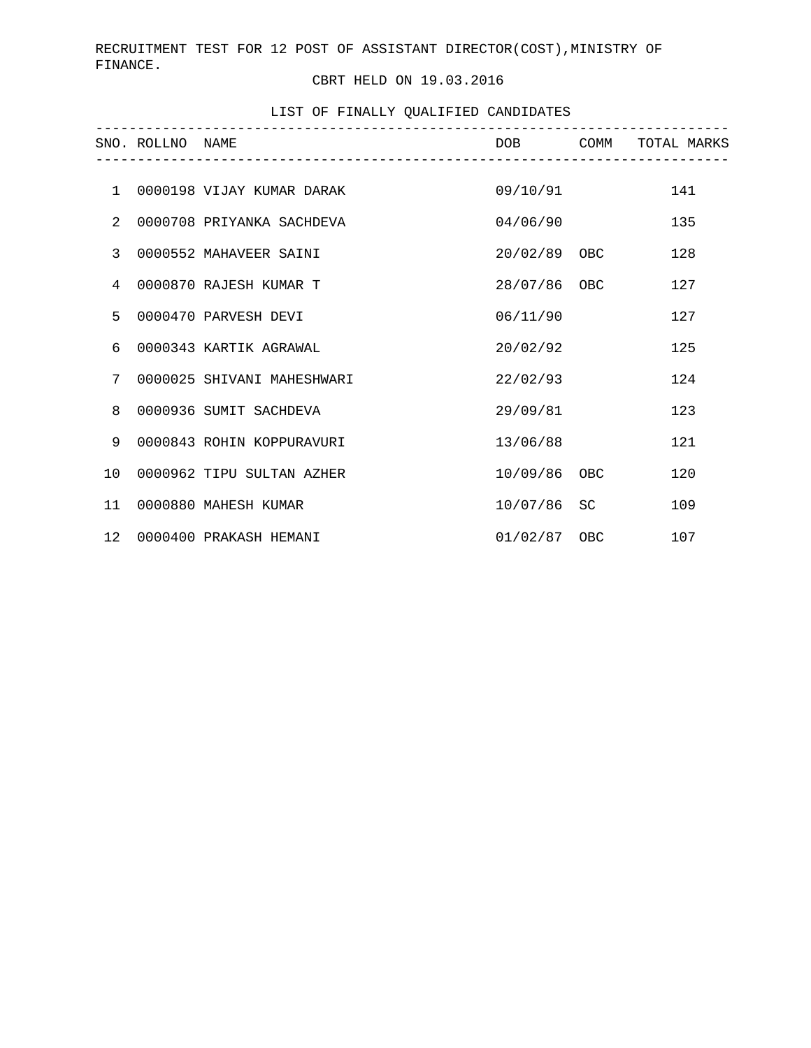RECRUITMENT TEST FOR 12 POST OF ASSISTANT DIRECTOR(COST),MINISTRY OF FINANCE.

CBRT HELD ON 19.03.2016

## LIST OF FINALLY QUALIFIED CANDIDATES

|                 | SNO. ROLLNO NAME |                            |                |    | DOB COMM TOTAL MARKS |
|-----------------|------------------|----------------------------|----------------|----|----------------------|
|                 |                  |                            |                |    |                      |
| $\mathbf{1}$    |                  | 0000198 VIJAY KUMAR DARAK  | 09/10/91       |    | 141                  |
| 2               |                  | 0000708 PRIYANKA SACHDEVA  | 04/06/90       |    | 135                  |
| $\overline{3}$  |                  | 0000552 MAHAVEER SAINI     | 20/02/89 OBC   |    | 128                  |
| $\overline{4}$  |                  | 0000870 RAJESH KUMAR T     | 28/07/86 OBC   |    | 127                  |
| 5               |                  | 0000470 PARVESH DEVI       | 06/11/90       |    | 127                  |
| 6               |                  | 0000343 KARTIK AGRAWAL     | 20/02/92       |    | 125                  |
| 7               |                  | 0000025 SHIVANI MAHESHWARI | 22/02/93       |    | 124                  |
| 8               |                  | 0000936 SUMIT SACHDEVA     | 29/09/81       |    | 123                  |
| 9               |                  | 0000843 ROHIN KOPPURAVURI  | 13/06/88       |    | 121                  |
| 10              |                  | 0000962 TIPU SULTAN AZHER  | 10/09/86 OBC   |    | 120                  |
| 11              |                  | 0000880 MAHESH KUMAR       | 10/07/86       | SC | 109                  |
| 12 <sub>2</sub> |                  | 0000400 PRAKASH HEMANI     | $01/02/87$ OBC |    | 107                  |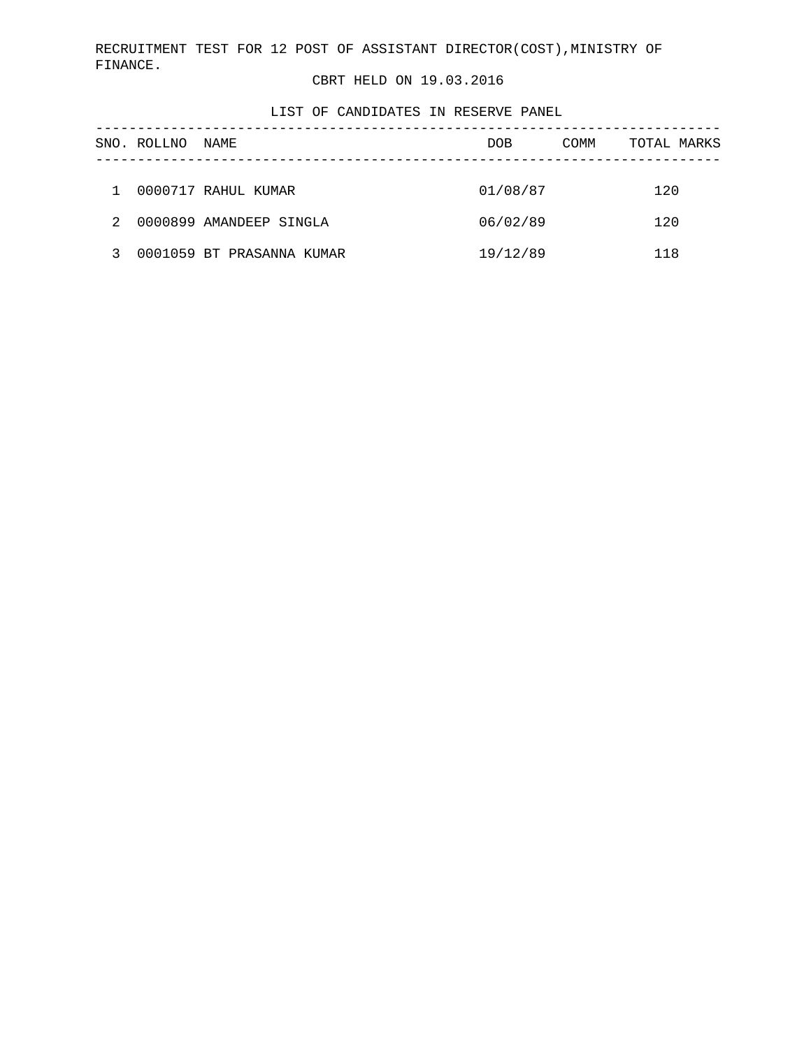RECRUITMENT TEST FOR 12 POST OF ASSISTANT DIRECTOR(COST),MINISTRY OF FINANCE.

CBRT HELD ON 19.03.2016

LIST OF CANDIDATES IN RESERVE PANEL

|   | SNO. ROLLNO | NAME                      | <b>DOB</b> | COMM | TOTAL MARKS |
|---|-------------|---------------------------|------------|------|-------------|
|   |             |                           |            |      |             |
|   |             | 0000717 RAHUL KUMAR       | 01/08/87   |      | 120         |
| 2 |             | 0000899 AMANDEEP SINGLA   | 06/02/89   |      | 120         |
|   |             | 0001059 BT PRASANNA KUMAR | 19/12/89   |      | 118         |